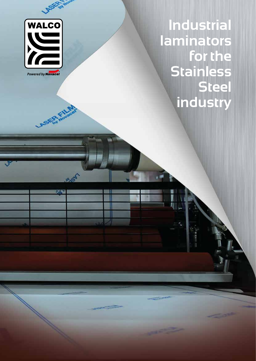

ASKA KILLA

**DESER** 

**Industrial laminators for the Stainless Steel industry**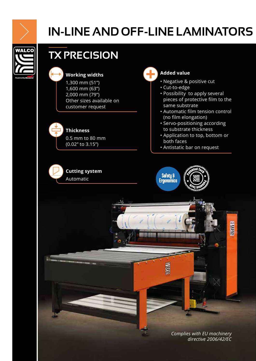

# **IN-LINE AND OFF-LINE LAMINATORS**

**VALCO** 

# **TX PRECISION**





#### **Thickness**

0.5 mm to 80 mm (0.02'' to 3.15'')

### **Cutting system**  Automatic



- Negative & positive cut
- Cut-to-edge
- Possibility to apply several pieces of protective film to the same substrate
- Automatic film tension control (no film elongation)
- Servo-positioning according to substrate thickness
- Application to top, bottom or both faces
- Antistatic bar on request



**Ma** 

*Complies with EU machinery directive 2006/42/EC*

**Book**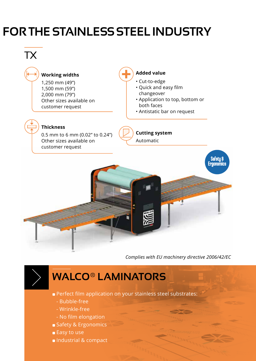# **FOR THE STAINLESS STEEL INDUSTRY**

# TX

### **Working widths**

1,250 mm (49") 1,500 mm (59") 2,000 mm (79") Other sizes available on customer request

#### **Added value**

- Cut-to-edge
- Quick and easy film changeover
- Application to top, bottom or both faces
- Antistatic bar on request

### **Thickness**

0.5 mm to 6 mm (0.02" to 0.24") Other sizes available on customer request

### **Cutting system**  Automatic



*Complies with EU machinery directive 2006/42/EC*

# **WALCO® LAMINATORS**

- **Perfect film application on your stainless steel substrates:** 
	- Bubble-free
	- Wrinkle-free
	- No film elongation
- Safety & Ergonomics
- Easy to use
- **Industrial & compact**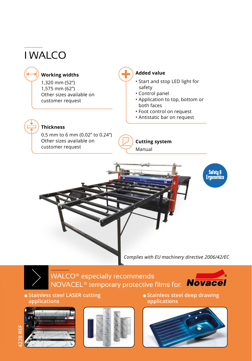# I WALCO

### **Working widths**

1,320 mm (52") 1,575 mm (62") Other sizes available on customer request

#### **Added value**

- Start and stop LED light for safety
- Control panel
- Application to top, bottom or both faces
- Foot control on request
- Antistatic bar on request

### **Thickness**

0.5 mm to 6 mm (0.02" to 0.24") Other sizes available on customer request

**Cutting system**  Manual



*Complies with EU machinery directive 2006/42/EC*

WALCO® especially recommends NOVACEL® temporary protective films for: Movacel



#### **s** Stainless steel LASER cutting **applications**





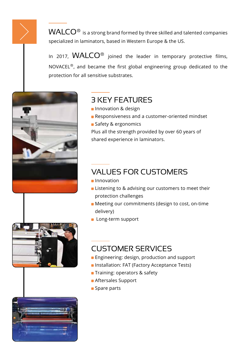$WALCO<sup>®</sup>$  is a strong brand formed by three skilled and talented companies specialized in laminators, based in Western Europe & the US.

In 2017,  $WALCO^@$  joined the leader in temporary protective films, NOVACEL®, and became the first global engineering group dedicated to the protection for all sensitive substrates.





## 3 KEY FEATURES

- **Innovation & design**
- **Responsiveness and a customer-oriented mindset**
- **Safety & ergonomics**

Plus all the strength provided by over 60 years of shared experience in laminators.

## VALUES FOR CUSTOMERS

- **Innovation**
- **EXTERGHEET Listening to & advising our customers to meet their** protection challenges
- **Meeting our commitments (design to cost, on-time** delivery)
- **Long-term support**

## CUSTOMER SERVICES

- **Engineering: design, production and support**
- **Installation: FAT (Factory Acceptance Tests)**
- **Training: operators & safety**
- **Aftersales Support**
- **Spare parts**